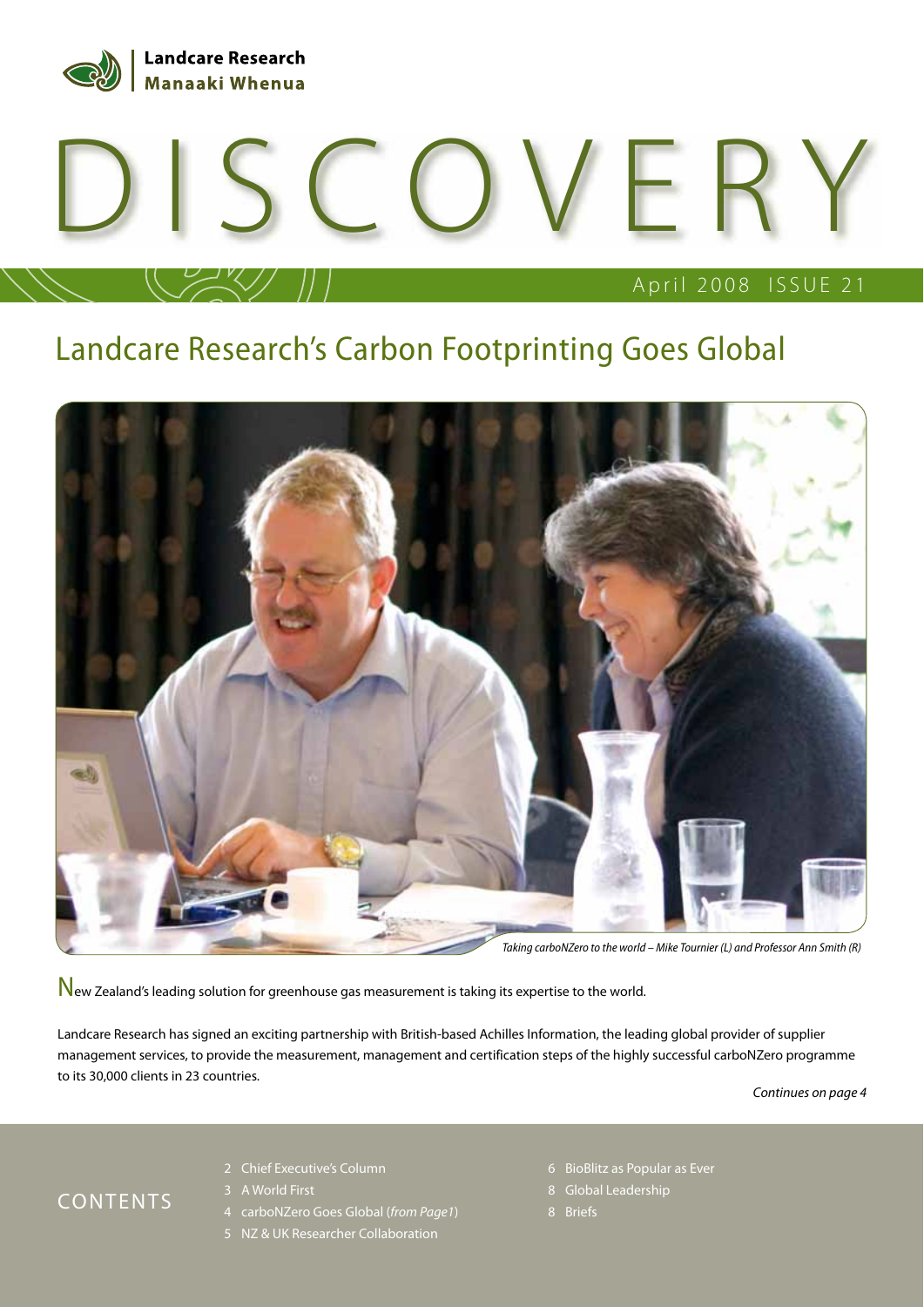

# April 2008 ISSUE 21 DISCOVERY

### Landcare Research's Carbon Footprinting Goes Global



New Zealand's leading solution for greenhouse gas measurement is taking its expertise to the world.

Landcare Research has signed an exciting partnership with British-based Achilles Information, the leading global provider of supplier management services, to provide the measurement, management and certification steps of the highly successful carboNZero programme to its 30,000 clients in 23 countries.

Continues on page 4

#### CONTENTS

- 2 Chief Executive's Column
- 3 A World First
- 4 carboNZero Goes Global (from Page1)
- 5 NZ & UK Researcher Collaboration
- 6 BioBlitz as Popular as Ever
- 8 Global Leadership
-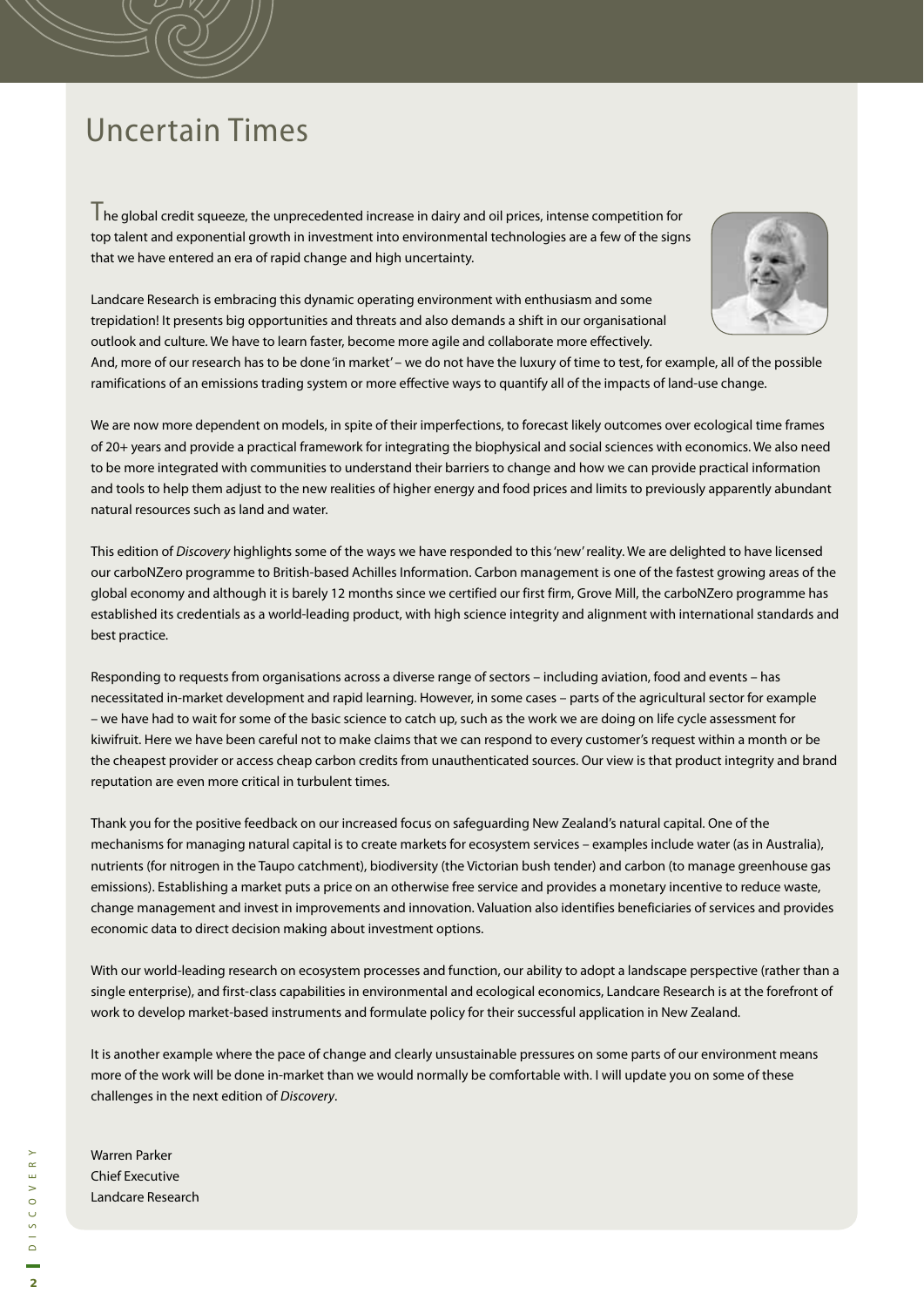### Uncertain Times

The global credit squeeze, the unprecedented increase in dairy and oil prices, intense competition for top talent and exponential growth in investment into environmental technologies are a few of the signs that we have entered an era of rapid change and high uncertainty.



Landcare Research is embracing this dynamic operating environment with enthusiasm and some trepidation! It presents big opportunities and threats and also demands a shift in our organisational outlook and culture. We have to learn faster, become more agile and collaborate more effectively.

And, more of our research has to be done 'in market' – we do not have the luxury of time to test, for example, all of the possible ramifications of an emissions trading system or more effective ways to quantify all of the impacts of land-use change.

We are now more dependent on models, in spite of their imperfections, to forecast likely outcomes over ecological time frames of 20+ years and provide a practical framework for integrating the biophysical and social sciences with economics. We also need to be more integrated with communities to understand their barriers to change and how we can provide practical information and tools to help them adjust to the new realities of higher energy and food prices and limits to previously apparently abundant natural resources such as land and water.

This edition of Discovery highlights some of the ways we have responded to this 'new' reality. We are delighted to have licensed our carboNZero programme to British-based Achilles Information. Carbon management is one of the fastest growing areas of the global economy and although it is barely 12 months since we certified our first firm, Grove Mill, the carboNZero programme has established its credentials as a world-leading product, with high science integrity and alignment with international standards and best practice.

Responding to requests from organisations across a diverse range of sectors – including aviation, food and events – has necessitated in-market development and rapid learning. However, in some cases – parts of the agricultural sector for example – we have had to wait for some of the basic science to catch up, such as the work we are doing on life cycle assessment for kiwifruit. Here we have been careful not to make claims that we can respond to every customer's request within a month or be the cheapest provider or access cheap carbon credits from unauthenticated sources. Our view is that product integrity and brand reputation are even more critical in turbulent times.

Thank you for the positive feedback on our increased focus on safeguarding New Zealand's natural capital. One of the mechanisms for managing natural capital is to create markets for ecosystem services – examples include water (as in Australia), nutrients (for nitrogen in the Taupo catchment), biodiversity (the Victorian bush tender) and carbon (to manage greenhouse gas emissions). Establishing a market puts a price on an otherwise free service and provides a monetary incentive to reduce waste, change management and invest in improvements and innovation. Valuation also identifies beneficiaries of services and provides economic data to direct decision making about investment options.

With our world-leading research on ecosystem processes and function, our ability to adopt a landscape perspective (rather than a single enterprise), and first-class capabilities in environmental and ecological economics, Landcare Research is at the forefront of work to develop market-based instruments and formulate policy for their successful application in New Zealand.

It is another example where the pace of change and clearly unsustainable pressures on some parts of our environment means more of the work will be done in-market than we would normally be comfortable with. I will update you on some of these challenges in the next edition of Discovery.

Warren Parker Chief Executive Landcare Research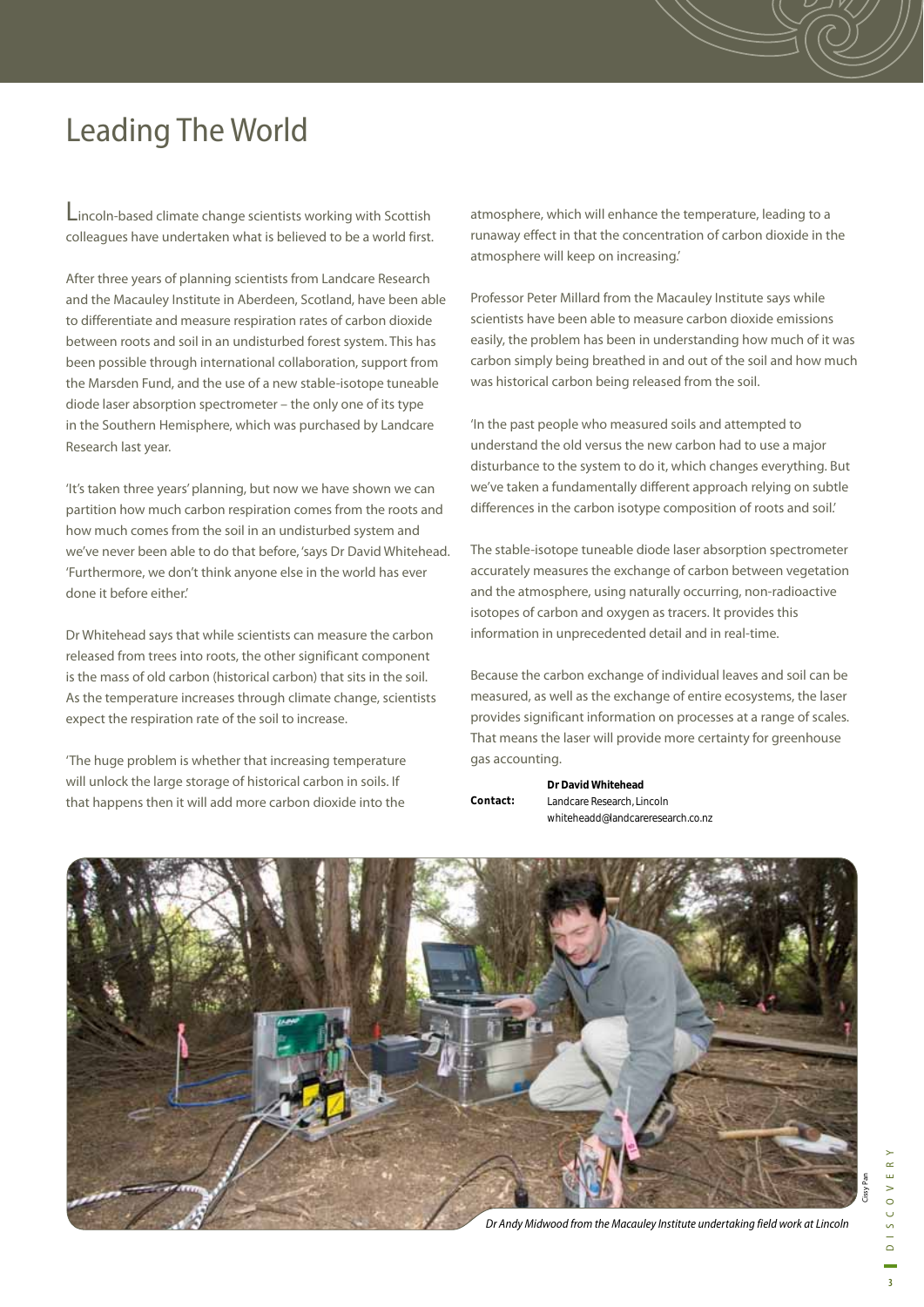### Leading The World

Lincoln-based climate change scientists working with Scottish colleagues have undertaken what is believed to be a world first.

After three years of planning scientists from Landcare Research and the Macauley Institute in Aberdeen, Scotland, have been able to differentiate and measure respiration rates of carbon dioxide between roots and soil in an undisturbed forest system. This has been possible through international collaboration, support from the Marsden Fund, and the use of a new stable-isotope tuneable diode laser absorption spectrometer – the only one of its type in the Southern Hemisphere, which was purchased by Landcare Research last year.

'It's taken three years' planning, but now we have shown we can partition how much carbon respiration comes from the roots and how much comes from the soil in an undisturbed system and we've never been able to do that before, 'says Dr David Whitehead. 'Furthermore, we don't think anyone else in the world has ever done it before either.'

Dr Whitehead says that while scientists can measure the carbon released from trees into roots, the other significant component is the mass of old carbon (historical carbon) that sits in the soil. As the temperature increases through climate change, scientists expect the respiration rate of the soil to increase.

'The huge problem is whether that increasing temperature will unlock the large storage of historical carbon in soils. If that happens then it will add more carbon dioxide into the

atmosphere, which will enhance the temperature, leading to a runaway effect in that the concentration of carbon dioxide in the atmosphere will keep on increasing.'

Professor Peter Millard from the Macauley Institute says while scientists have been able to measure carbon dioxide emissions easily, the problem has been in understanding how much of it was carbon simply being breathed in and out of the soil and how much was historical carbon being released from the soil.

'In the past people who measured soils and attempted to understand the old versus the new carbon had to use a major disturbance to the system to do it, which changes everything. But we've taken a fundamentally different approach relying on subtle differences in the carbon isotype composition of roots and soil.'

The stable-isotope tuneable diode laser absorption spectrometer accurately measures the exchange of carbon between vegetation and the atmosphere, using naturally occurring, non-radioactive isotopes of carbon and oxygen as tracers. It provides this information in unprecedented detail and in real-time.

Because the carbon exchange of individual leaves and soil can be measured, as well as the exchange of entire ecosystems, the laser provides significant information on processes at a range of scales. That means the laser will provide more certainty for greenhouse gas accounting.

|          | Dr David Whitehead                |
|----------|-----------------------------------|
| Contact: | Landcare Research, Lincoln        |
|          | whiteheadd@landcareresearch.co.nz |



Cissy Pan

Dr Andy Midwood from the Macauley Institute undertaking field work at Lincoln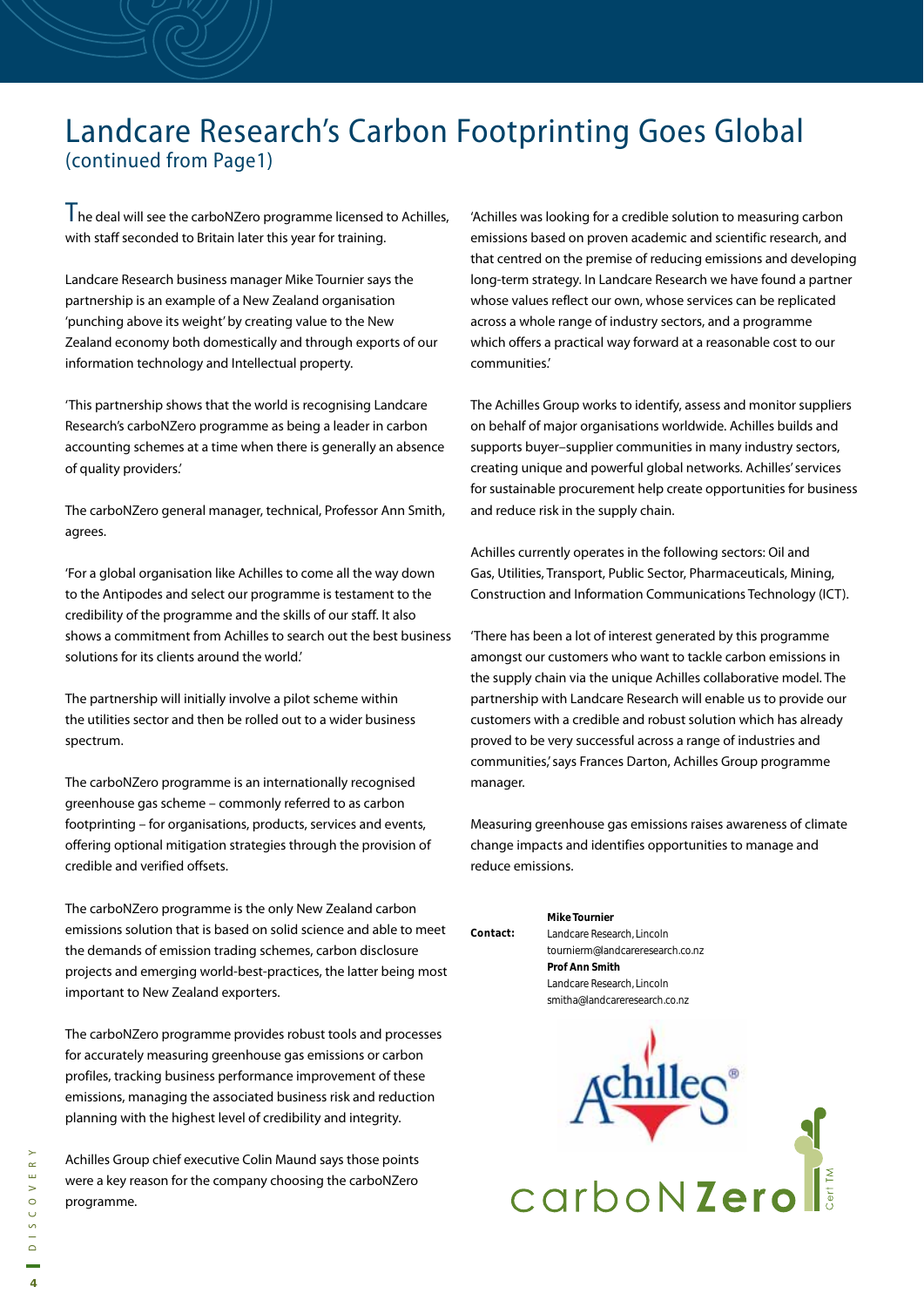### Landcare Research's Carbon Footprinting Goes Global (continued from Page1)

 $T$ he deal will see the carboNZero programme licensed to Achilles, with staff seconded to Britain later this year for training.

Landcare Research business manager Mike Tournier says the partnership is an example of a New Zealand organisation 'punching above its weight' by creating value to the New Zealand economy both domestically and through exports of our information technology and Intellectual property.

'This partnership shows that the world is recognising Landcare Research's carboNZero programme as being a leader in carbon accounting schemes at a time when there is generally an absence of quality providers.'

The carboNZero general manager, technical, Professor Ann Smith, agrees.

'For a global organisation like Achilles to come all the way down to the Antipodes and select our programme is testament to the credibility of the programme and the skills of our staff. It also shows a commitment from Achilles to search out the best business solutions for its clients around the world.'

The partnership will initially involve a pilot scheme within the utilities sector and then be rolled out to a wider business spectrum.

The carboNZero programme is an internationally recognised greenhouse gas scheme – commonly referred to as carbon footprinting – for organisations, products, services and events, offering optional mitigation strategies through the provision of credible and verified offsets.

The carboNZero programme is the only New Zealand carbon emissions solution that is based on solid science and able to meet the demands of emission trading schemes, carbon disclosure projects and emerging world-best-practices, the latter being most important to New Zealand exporters.

The carboNZero programme provides robust tools and processes for accurately measuring greenhouse gas emissions or carbon profiles, tracking business performance improvement of these emissions, managing the associated business risk and reduction planning with the highest level of credibility and integrity.

Achilles Group chief executive Colin Maund says those points were a key reason for the company choosing the carboNZero programme.

'Achilles was looking for a credible solution to measuring carbon emissions based on proven academic and scientific research, and that centred on the premise of reducing emissions and developing long-term strategy. In Landcare Research we have found a partner whose values reflect our own, whose services can be replicated across a whole range of industry sectors, and a programme which offers a practical way forward at a reasonable cost to our communities.'

The Achilles Group works to identify, assess and monitor suppliers on behalf of major organisations worldwide. Achilles builds and supports buyer–supplier communities in many industry sectors, creating unique and powerful global networks. Achilles' services for sustainable procurement help create opportunities for business and reduce risk in the supply chain.

Achilles currently operates in the following sectors: Oil and Gas, Utilities, Transport, Public Sector, Pharmaceuticals, Mining, Construction and Information Communications Technology (ICT).

'There has been a lot of interest generated by this programme amongst our customers who want to tackle carbon emissions in the supply chain via the unique Achilles collaborative model. The partnership with Landcare Research will enable us to provide our customers with a credible and robust solution which has already proved to be very successful across a range of industries and communities,' says Frances Darton, Achilles Group programme manager.

Measuring greenhouse gas emissions raises awareness of climate change impacts and identifies opportunities to manage and reduce emissions.

|        | <b>Mike Tournier</b>             |
|--------|----------------------------------|
| ntact: | Landcare Research, Lincoln       |
|        | tournierm@landcareresearch.co.nz |
|        | <b>Prof Ann Smith</b>            |
|        | Landcare Research, Lincoln       |
|        | smitha@landcareresearch.co.nz    |

**Contact:** 

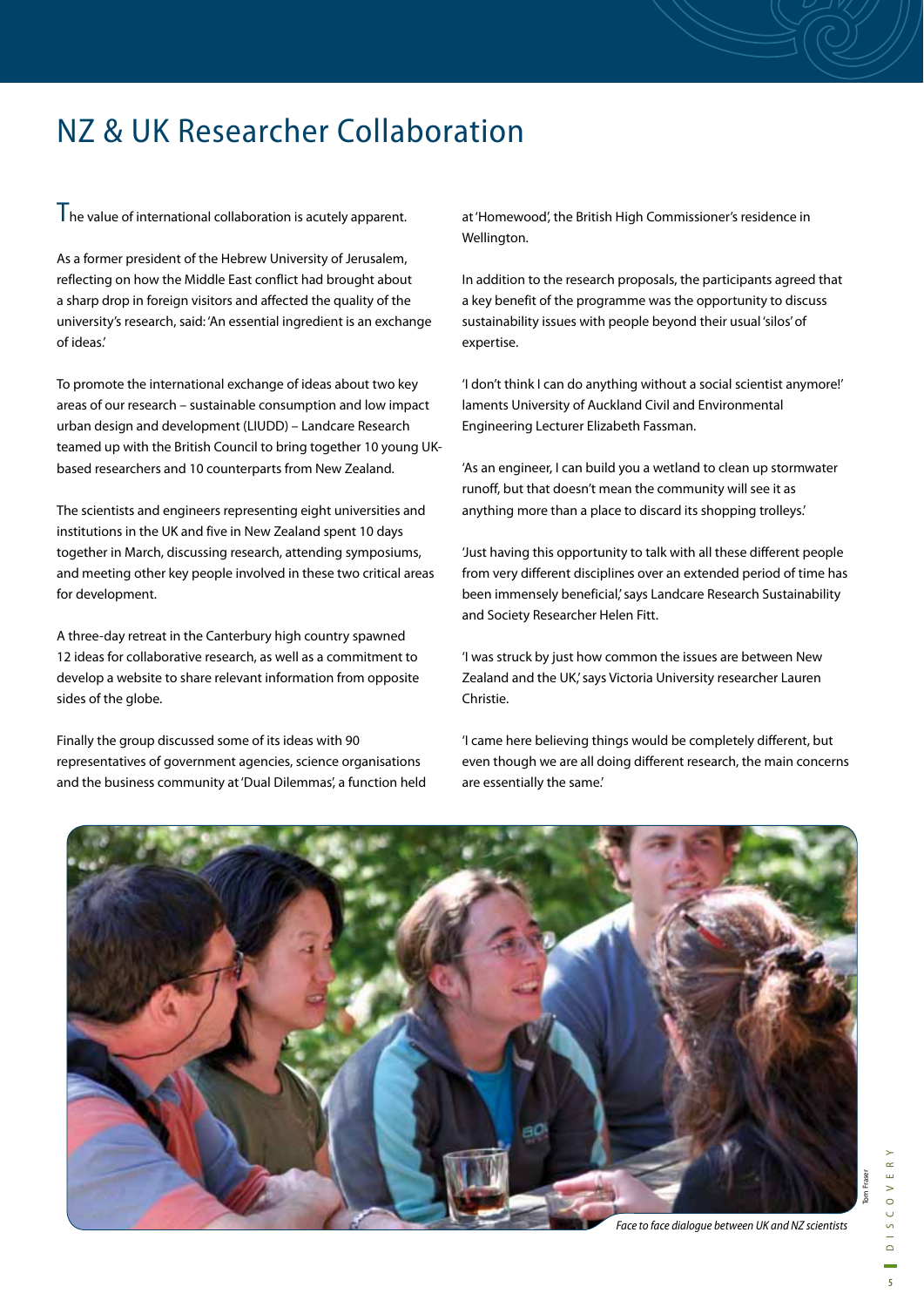### NZ & UK Researcher Collaboration

 $T<sub>he</sub>$  value of international collaboration is acutely apparent.

As a former president of the Hebrew University of Jerusalem, reflecting on how the Middle East conflict had brought about a sharp drop in foreign visitors and affected the quality of the university's research, said: 'An essential ingredient is an exchange of ideas.'

To promote the international exchange of ideas about two key areas of our research – sustainable consumption and low impact urban design and development (LIUDD) – Landcare Research teamed up with the British Council to bring together 10 young UKbased researchers and 10 counterparts from New Zealand.

The scientists and engineers representing eight universities and institutions in the UK and five in New Zealand spent 10 days together in March, discussing research, attending symposiums, and meeting other key people involved in these two critical areas for development.

A three-day retreat in the Canterbury high country spawned 12 ideas for collaborative research, as well as a commitment to develop a website to share relevant information from opposite sides of the globe.

Finally the group discussed some of its ideas with 90 representatives of government agencies, science organisations and the business community at 'Dual Dilemmas', a function held at 'Homewood', the British High Commissioner's residence in Wellington.

In addition to the research proposals, the participants agreed that a key benefit of the programme was the opportunity to discuss sustainability issues with people beyond their usual 'silos' of expertise.

'I don't think I can do anything without a social scientist anymore!' laments University of Auckland Civil and Environmental Engineering Lecturer Elizabeth Fassman.

'As an engineer, I can build you a wetland to clean up stormwater runoff, but that doesn't mean the community will see it as anything more than a place to discard its shopping trolleys.'

'Just having this opportunity to talk with all these different people from very different disciplines over an extended period of time has been immensely beneficial,' says Landcare Research Sustainability and Society Researcher Helen Fitt.

'I was struck by just how common the issues are between New Zealand and the UK,' says Victoria University researcher Lauren Christie.

'I came here believing things would be completely different, but even though we are all doing different research, the main concerns are essentially the same.'



Tom Fraser

om Fraser

Face to face dialogue between UK and NZ scientists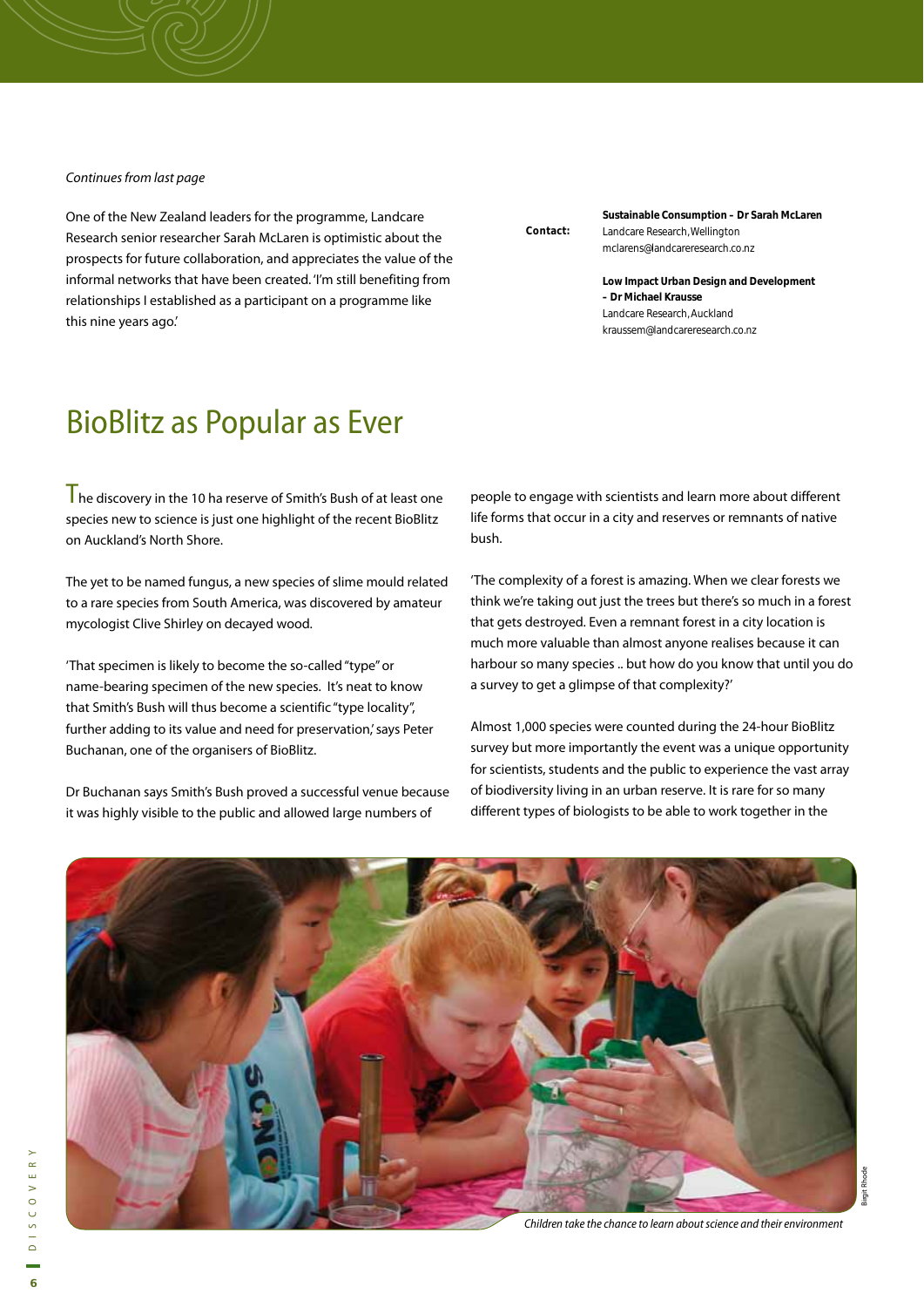#### Continues from last page

One of the New Zealand leaders for the programme, Landcare Research senior researcher Sarah McLaren is optimistic about the prospects for future collaboration, and appreciates the value of the informal networks that have been created. 'I'm still benefiting from relationships I established as a participant on a programme like this nine years ago.'

### BioBlitz as Popular as Ever

 $\mathsf{T}_{\mathsf{he}}$  discoverv in the 10 ha reserve of Smith's Bush of at least one species new to science is just one highlight of the recent BioBlitz on Auckland's North Shore.

The yet to be named fungus, a new species of slime mould related to a rare species from South America, was discovered by amateur mycologist Clive Shirley on decayed wood.

'That specimen is likely to become the so-called "type" or name-bearing specimen of the new species. It's neat to know that Smith's Bush will thus become a scientific "type locality", further adding to its value and need for preservation,' says Peter Buchanan, one of the organisers of BioBlitz.

Dr Buchanan says Smith's Bush proved a successful venue because it was highly visible to the public and allowed large numbers of

**Contact:** 

**Sustainable Consumption – Dr Sarah McLaren** Landcare Research, Wellington mclarens@landcareresearch.co.nz

**Low Impact Urban Design and Development – Dr Michael Krausse** Landcare Research, Auckland kraussem@landcareresearch.co.nz

people to engage with scientists and learn more about different life forms that occur in a city and reserves or remnants of native bush.

'The complexity of a forest is amazing. When we clear forests we think we're taking out just the trees but there's so much in a forest that gets destroyed. Even a remnant forest in a city location is much more valuable than almost anyone realises because it can harbour so many species .. but how do you know that until you do a survey to get a glimpse of that complexity?'

Almost 1,000 species were counted during the 24-hour BioBlitz survey but more importantly the event was a unique opportunity for scientists, students and the public to experience the vast array of biodiversity living in an urban reserve. It is rare for so many different types of biologists to be able to work together in the



Children take the chance to learn about science and their environment

Birgit Rhode

Birgit Rhode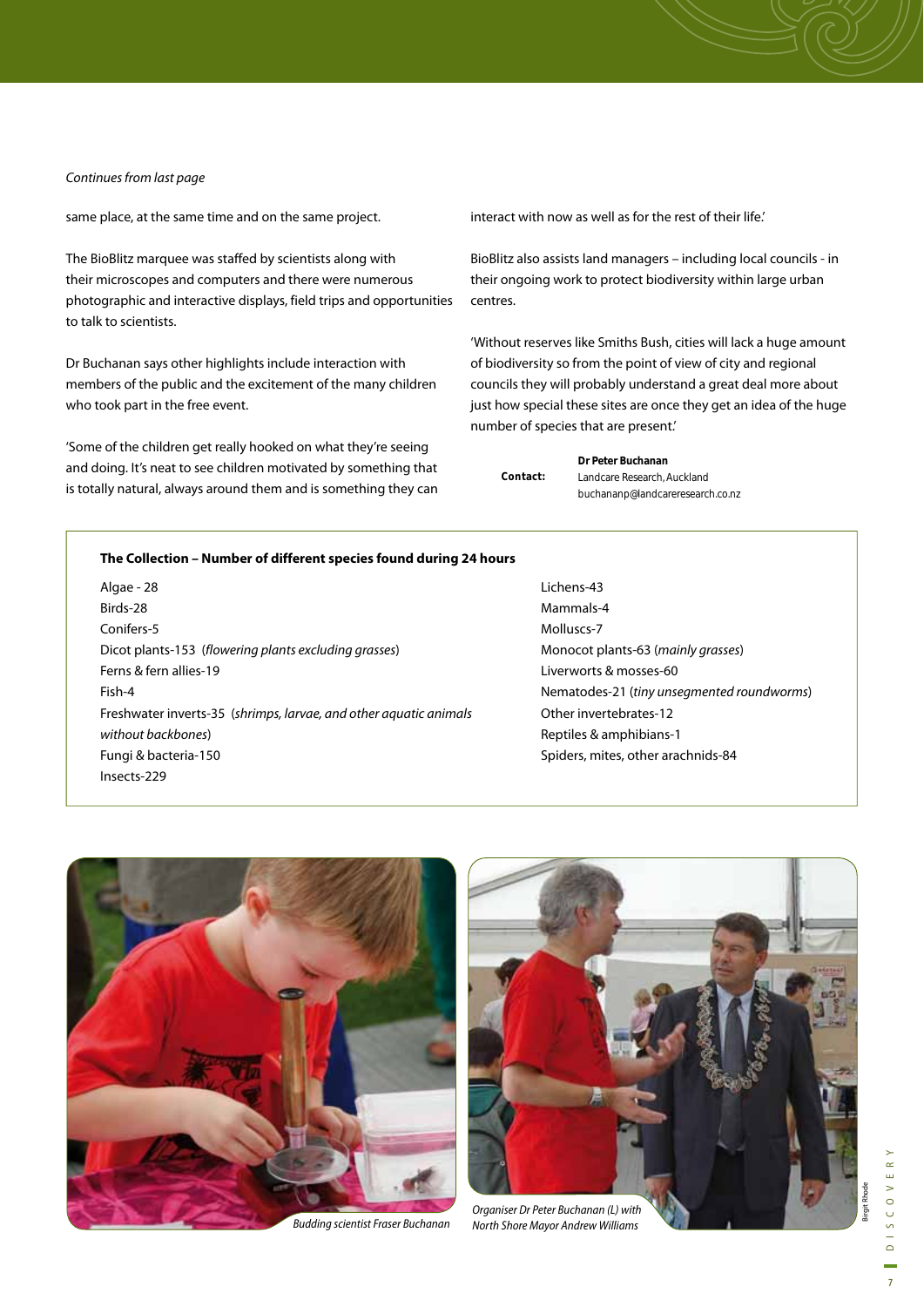#### Continues from last page

same place, at the same time and on the same project.

The BioBlitz marquee was staffed by scientists along with their microscopes and computers and there were numerous photographic and interactive displays, field trips and opportunities to talk to scientists.

Dr Buchanan says other highlights include interaction with members of the public and the excitement of the many children who took part in the free event.

'Some of the children get really hooked on what they're seeing and doing. It's neat to see children motivated by something that is totally natural, always around them and is something they can interact with now as well as for the rest of their life'

BioBlitz also assists land managers – including local councils - in their ongoing work to protect biodiversity within large urban centres.

'Without reserves like Smiths Bush, cities will lack a huge amount of biodiversity so from the point of view of city and regional councils they will probably understand a great deal more about just how special these sites are once they get an idea of the huge number of species that are present.'

|          | Dr Peter Buchanan                |
|----------|----------------------------------|
| Contact: | Landcare Research, Auckland      |
|          | buchananp@landcareresearch.co.nz |

#### **The Collection – Number of different species found during 24 hours**

Algae - 28 Birds-28 Conifers-5 Dicot plants-153 (flowering plants excluding grasses) Ferns & fern allies-19 Fish-4 Freshwater inverts-35 (shrimps, larvae, and other aquatic animals without backbones) Fungi & bacteria-150 Insects-229

Lichens-43 Mammals-4 Molluscs-7 Monocot plants-63 (mainly grasses) Liverworts & mosses-60 Nematodes-21 (tiny unsegmented roundworms) Other invertebrates-12 Reptiles & amphibians-1 Spiders, mites, other arachnids-84



Budding scientist Fraser Buchanan



Organiser Dr Peter Buchanan (L) with North Shore Mayor Andrew Williams

Birgit Rhode